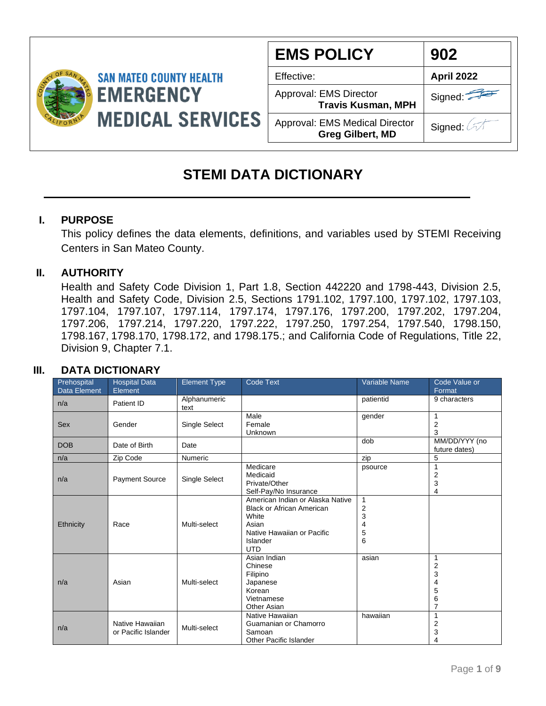

| <b>EMS POLICY</b>                                                | 902               |
|------------------------------------------------------------------|-------------------|
| Effective:                                                       | <b>April 2022</b> |
| Approval: EMS Director<br><b>Travis Kusman, MPH</b>              | Signed:           |
| <b>Approval: EMS Medical Director</b><br><b>Greg Gilbert, MD</b> | Signed:           |

#### **STEMI DATA DICTIONARY**

#### **I. PURPOSE**

This policy defines the data elements, definitions, and variables used by STEMI Receiving Centers in San Mateo County.

#### **II. AUTHORITY**

Health and Safety Code Division 1, Part 1.8, Section 442220 and 1798-443, Division 2.5, Health and Safety Code, Division 2.5, Sections 1791.102, 1797.100, 1797.102, 1797.103, 1797.104, 1797.107, 1797.114, 1797.174, 1797.176, 1797.200, 1797.202, 1797.204, 1797.206, 1797.214, 1797.220, 1797.222, 1797.250, 1797.254, 1797.540, 1798.150, 1798.167, 1798.170, 1798.172, and 1798.175.; and California Code of Regulations, Title 22, Division 9, Chapter 7.1.

#### **III. DATA DICTIONARY**

| Prehospital<br>Data Element | <b>Hospital Data</b><br>Element        | <b>Element Type</b>  | <b>Code Text</b>                                                                                                                               | <b>Variable Name</b>                    | Code Value or<br>Format                                            |
|-----------------------------|----------------------------------------|----------------------|------------------------------------------------------------------------------------------------------------------------------------------------|-----------------------------------------|--------------------------------------------------------------------|
| n/a                         | Patient ID                             | Alphanumeric<br>text |                                                                                                                                                | patientid                               | 9 characters                                                       |
| Sex                         | Gender                                 | Single Select        | Male<br>Female<br>Unknown                                                                                                                      | gender                                  | 2<br>3                                                             |
| <b>DOB</b>                  | Date of Birth                          | Date                 |                                                                                                                                                | dob                                     | MM/DD/YYY (no<br>future dates)                                     |
| n/a                         | Zip Code                               | Numeric              |                                                                                                                                                | zip                                     | 5                                                                  |
| n/a                         | <b>Payment Source</b>                  | Single Select        | Medicare<br>Medicaid<br>Private/Other<br>Self-Pay/No Insurance                                                                                 | psource                                 | 2<br>3<br>4                                                        |
| Ethnicity                   | Race                                   | Multi-select         | American Indian or Alaska Native<br><b>Black or African American</b><br>White<br>Asian<br>Native Hawaiian or Pacific<br>Islander<br><b>UTD</b> | 1<br>$\overline{c}$<br>3<br>4<br>5<br>6 |                                                                    |
| n/a                         | Asian                                  | Multi-select         | Asian Indian<br>Chinese<br>Filipino<br>Japanese<br>Korean<br>Vietnamese<br><b>Other Asian</b>                                                  | asian                                   | 1<br>$\overline{\mathbf{c}}$<br>3<br>4<br>5<br>6<br>$\overline{7}$ |
| n/a                         | Native Hawaiian<br>or Pacific Islander | Multi-select         | Native Hawaiian<br>Guamanian or Chamorro<br>Samoan<br><b>Other Pacific Islander</b>                                                            | hawaiian                                | 2<br>3                                                             |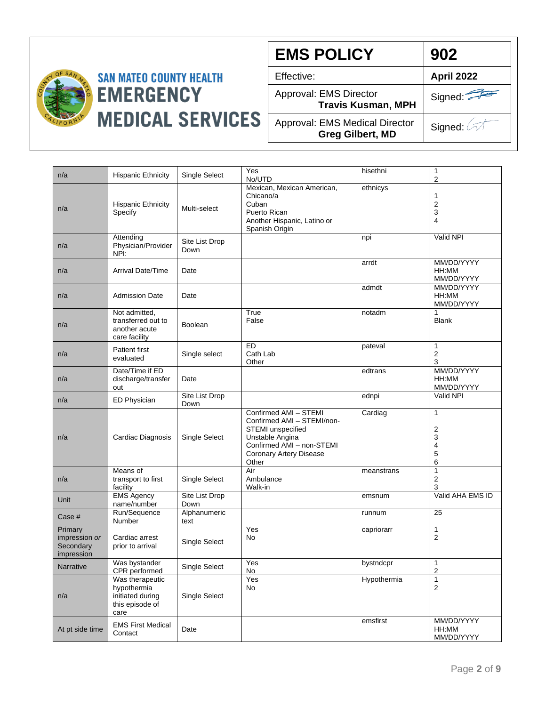

**EMS POLICY**

Effective: **April 2022**

Approval: EMS Director

**Travis Kusman, MPH**

Signed:

**902**

Approval: EMS Medical Director **Greg Gilbert, MD**

| n/a                                                 | <b>Hispanic Ethnicity</b>                                                     | Single Select          | Yes<br>No/UTD                                                                                                                                                | hisethni    | 1<br>2                                  |
|-----------------------------------------------------|-------------------------------------------------------------------------------|------------------------|--------------------------------------------------------------------------------------------------------------------------------------------------------------|-------------|-----------------------------------------|
| n/a                                                 | <b>Hispanic Ethnicity</b><br>Specify                                          | Multi-select           | Mexican, Mexican American,<br>Chicano/a<br>Cuban<br>Puerto Rican<br>Another Hispanic, Latino or<br>Spanish Origin                                            | ethnicys    | 1<br>2<br>3<br>4                        |
| n/a                                                 | Attending<br>Physician/Provider<br>NPI:                                       | Site List Drop<br>Down |                                                                                                                                                              | npi         | Valid NPI                               |
| n/a                                                 | <b>Arrival Date/Time</b>                                                      | Date                   |                                                                                                                                                              | arrdt       | MM/DD/YYYY<br>HH:MM<br>MM/DD/YYYY       |
| n/a                                                 | <b>Admission Date</b>                                                         | Date                   |                                                                                                                                                              | admdt       | MM/DD/YYYY<br>HH:MM<br>MM/DD/YYYY       |
| n/a                                                 | Not admitted,<br>transferred out to<br>another acute<br>care facility         | <b>Boolean</b>         | True<br>False                                                                                                                                                | notadm      | <b>Blank</b>                            |
| n/a                                                 | Patient first<br>evaluated                                                    | Single select          | E<br>Cath Lab<br>Other                                                                                                                                       | pateval     | 1<br>2<br>3                             |
| n/a                                                 | Date/Time if ED<br>discharge/transfer<br>out                                  | Date                   |                                                                                                                                                              | edtrans     | MM/DD/YYYY<br>HH:MM<br>MM/DD/YYYY       |
| n/a                                                 | ED Physician                                                                  | Site List Drop<br>Down |                                                                                                                                                              | ednpi       | Valid NPI                               |
| n/a                                                 | Cardiac Diagnosis                                                             | Single Select          | Confirmed AMI - STEMI<br>Confirmed AMI - STEMI/non-<br>STEMI unspecified<br>Unstable Angina<br>Confirmed AMI - non-STEMI<br>Coronary Artery Disease<br>Other | Cardiag     | $\mathbf{1}$<br>2<br>3<br>4<br>5<br>6   |
| n/a                                                 | Means of<br>transport to first<br>facility                                    | Single Select          | Air<br>Ambulance<br>Walk-in                                                                                                                                  | meanstrans  | $\mathbf{1}$<br>$\overline{c}$<br>3     |
| Unit                                                | <b>EMS Agency</b><br>name/number                                              | Site List Drop<br>Down |                                                                                                                                                              | emsnum      | Valid AHA EMS ID                        |
| Case #                                              | Run/Sequence<br>Number                                                        | Alphanumeric<br>text   |                                                                                                                                                              | runnum      | 25                                      |
| Primary<br>impression or<br>Secondary<br>impression | Cardiac arrest<br>prior to arrival                                            | Single Select          | Yes<br>No                                                                                                                                                    | capriorarr  | $\mathbf{1}$<br>2                       |
| Narrative                                           | Was bystander<br>CPR performed                                                | Single Select          | Yes<br>No                                                                                                                                                    | bystndcpr   | 1<br>2                                  |
| n/a                                                 | Was therapeutic<br>hypothermia<br>initiated during<br>this episode of<br>care | Single Select          | Yes<br>No                                                                                                                                                    | Hypothermia | $\mathbf{1}$<br>$\overline{\mathbf{c}}$ |
| At pt side time                                     | <b>EMS First Medical</b><br>Contact                                           | Date                   |                                                                                                                                                              | emsfirst    | MM/DD/YYYY<br>HH:MM<br>MM/DD/YYYY       |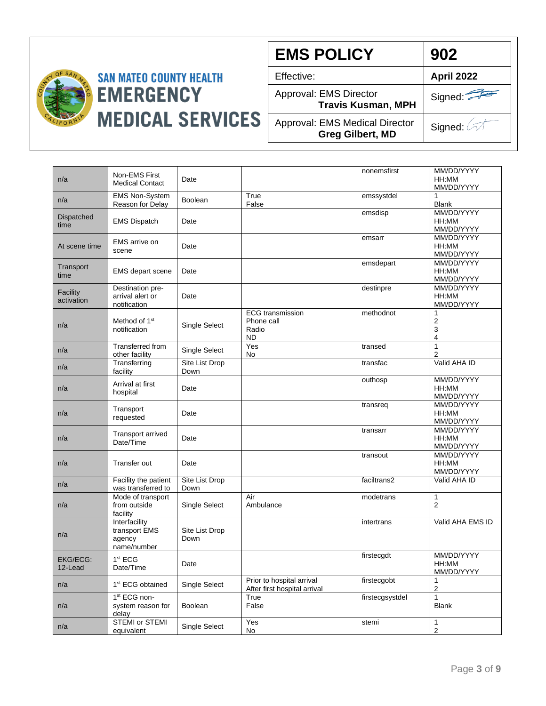

**EMS POLICY** Effective: **April 2022** Approval: EMS Director **Travis Kusman, MPH** Approval: EMS Medical Director **Greg Gilbert, MD** Signed: Signed: 4 **902**

| n/a                        | Non-EMS First<br><b>Medical Contact</b>                 | Date                   |                                                             | nonemsfirst     | MM/DD/YYYY<br>HH:MM<br>MM/DD/YYYY |
|----------------------------|---------------------------------------------------------|------------------------|-------------------------------------------------------------|-----------------|-----------------------------------|
| n/a                        | <b>EMS Non-System</b><br>Reason for Delay               | Boolean                | True<br>False                                               | emssystdel      | 1<br><b>Blank</b>                 |
| Dispatched<br>time         | <b>EMS Dispatch</b>                                     | Date                   |                                                             | emsdisp         | MM/DD/YYYY<br>HH:MM<br>MM/DD/YYYY |
| At scene time              | <b>EMS</b> arrive on<br>scene                           | Date                   |                                                             | emsarr          | MM/DD/YYYY<br>HH:MM<br>MM/DD/YYYY |
| Transport<br>time          | <b>EMS</b> depart scene                                 | Date                   |                                                             | emsdepart       | MM/DD/YYYY<br>HH:MM<br>MM/DD/YYYY |
| Facility<br>activation     | Destination pre-<br>arrival alert or<br>notification    | Date                   |                                                             | destinpre       | MM/DD/YYYY<br>HH:MM<br>MM/DD/YYYY |
| n/a                        | Method of 1 <sup>st</sup><br>notification               | Single Select          | <b>ECG</b> transmission<br>Phone call<br>Radio<br><b>ND</b> | methodnot       | 1<br>$\overline{2}$<br>3<br>4     |
| n/a                        | <b>Transferred from</b><br>other facility               | Single Select          | Yes<br>No                                                   | transed         | $\mathbf{1}$<br>2                 |
| n/a                        | Transferring<br>facility                                | Site List Drop<br>Down |                                                             | transfac        | Valid AHA ID                      |
| n/a                        | Arrival at first<br>hospital                            | Date                   |                                                             | outhosp         | MM/DD/YYYY<br>HH:MM<br>MM/DD/YYYY |
| n/a                        | Transport<br>requested                                  | Date                   |                                                             | transreg        | MM/DD/YYYY<br>HH:MM<br>MM/DD/YYYY |
| n/a                        | <b>Transport arrived</b><br>Date/Time                   | Date                   |                                                             | transarr        | MM/DD/YYYY<br>HH:MM<br>MM/DD/YYYY |
| n/a                        | Transfer out                                            | Date                   |                                                             | transout        | MM/DD/YYYY<br>HH:MM<br>MM/DD/YYYY |
| n/a                        | Facility the patient<br>was transferred to              | Site List Drop<br>Down |                                                             | faciltrans2     | Valid AHA ID                      |
| n/a                        | Mode of transport<br>from outside<br>facility           | Single Select          | Air<br>Ambulance                                            | modetrans       | 1<br>$\overline{2}$               |
| n/a                        | Interfacility<br>transport EMS<br>agency<br>name/number | Site List Drop<br>Down |                                                             | intertrans      | Valid AHA EMS ID                  |
| <b>EKG/ECG:</b><br>12-Lead | 1 <sup>st</sup> ECG<br>Date/Time                        | Date                   |                                                             | firstecgdt      | MM/DD/YYYY<br>HH:MM<br>MM/DD/YYYY |
| n/a                        | 1 <sup>st</sup> ECG obtained                            | Single Select          | Prior to hospital arrival<br>After first hospital arrival   | firstecgobt     | 1<br>$\overline{2}$               |
| n/a                        | 1 <sup>st</sup> ECG non-<br>system reason for<br>delay  | Boolean                | True<br>False                                               | firstecgsystdel | $\mathbf{1}$<br><b>Blank</b>      |
| n/a                        | STEMI or STEMI<br>equivalent                            | Single Select          | Yes<br>No                                                   | stemi           | 1<br>$\overline{2}$               |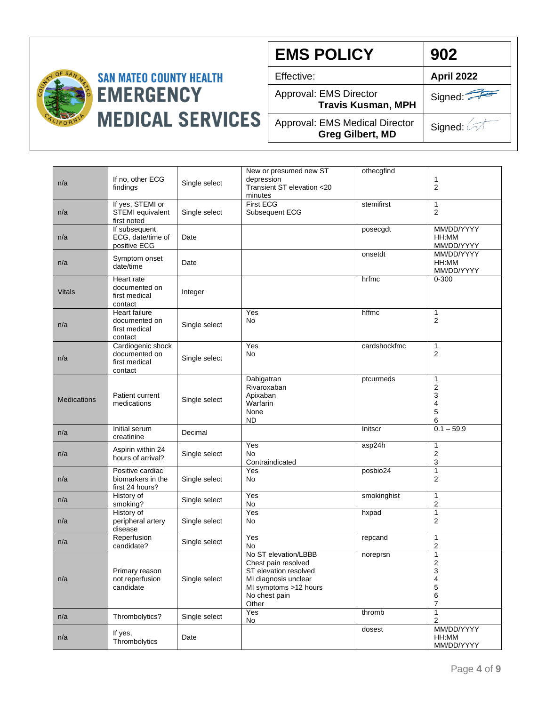

**EMS POLICY**

Approval: EMS Director

**Travis Kusman, MPH**

Approval: EMS Medical Director **Greg Gilbert, MD**

Signed: 4

| n/a                | If no, other ECG<br>findings                                      | Single select | New or presumed new ST<br>depression<br>Transient ST elevation <20<br>minutes                                                                   | othecgfind   | 1<br>$\overline{2}$                          |
|--------------------|-------------------------------------------------------------------|---------------|-------------------------------------------------------------------------------------------------------------------------------------------------|--------------|----------------------------------------------|
| n/a                | If yes, STEMI or<br>STEMI equivalent<br>first noted               | Single select | <b>First ECG</b><br>Subsequent ECG                                                                                                              | stemifirst   | $\mathbf{1}$<br>$\overline{2}$               |
| n/a                | If subsequent<br>ECG, date/time of<br>positive ECG                | Date          |                                                                                                                                                 | posecgdt     | MM/DD/YYYY<br>HH:MM<br>MM/DD/YYYY            |
| n/a                | Symptom onset<br>date/time                                        | Date          |                                                                                                                                                 | onsetdt      | MM/DD/YYYY<br>HH:MM<br>MM/DD/YYYY            |
| <b>Vitals</b>      | Heart rate<br>documented on<br>first medical<br>contact           | Integer       |                                                                                                                                                 | hrfmc        | $0 - 300$                                    |
| n/a                | <b>Heart failure</b><br>documented on<br>first medical<br>contact | Single select | Yes<br>No                                                                                                                                       | hffmc        | $\mathbf{1}$<br>$\overline{2}$               |
| n/a                | Cardiogenic shock<br>documented on<br>first medical<br>contact    | Single select | Yes<br>No                                                                                                                                       | cardshockfmc | 1<br>2                                       |
| <b>Medications</b> | Patient current<br>medications                                    | Single select | Dabigatran<br>Rivaroxaban<br>Apixaban<br>Warfarin<br>None<br><b>ND</b>                                                                          | ptcurmeds    | 1<br>$\overline{2}$<br>3<br>4<br>5<br>6      |
| n/a                | Initial serum<br>creatinine                                       | Decimal       |                                                                                                                                                 | Initscr      | $0.1 - 59.9$                                 |
| n/a                | Aspirin within 24<br>hours of arrival?                            | Single select | Yes<br><b>No</b><br>Contraindicated                                                                                                             | asp24h       | 1<br>$\overline{2}$<br>3                     |
| n/a                | Positive cardiac<br>biomarkers in the<br>first 24 hours?          | Single select | Yes<br>No                                                                                                                                       | posbio24     | $\mathbf{1}$<br>$\overline{2}$               |
| n/a                | History of<br>smoking?                                            | Single select | Yes<br><b>No</b>                                                                                                                                | smokinghist  | $\mathbf{1}$<br>2                            |
| n/a                | History of<br>peripheral artery<br>disease                        | Single select | Yes<br>No                                                                                                                                       | hxpad        | 1<br>$\overline{2}$                          |
| n/a                | Reperfusion<br>candidate?                                         | Single select | Yes<br>No                                                                                                                                       | repcand      | 1<br>2                                       |
| n/a                | Primary reason<br>not reperfusion<br>candidate                    | Single select | No ST elevation/LBBB<br>Chest pain resolved<br>ST elevation resolved<br>MI diagnosis unclear<br>MI symptoms >12 hours<br>No chest pain<br>Other | noreprsn     | 1<br>2<br>3<br>4<br>5<br>6<br>$\overline{7}$ |
| n/a                | Thrombolytics?                                                    | Single select | Yes<br>No                                                                                                                                       | thromb       | $\mathbf{1}$<br>$\overline{2}$               |
| n/a                | If yes,<br>Thrombolytics                                          | Date          |                                                                                                                                                 | dosest       | MM/DD/YYYY<br>HH:MM<br>MM/DD/YYYY            |

Effective: **April 2022**

**902**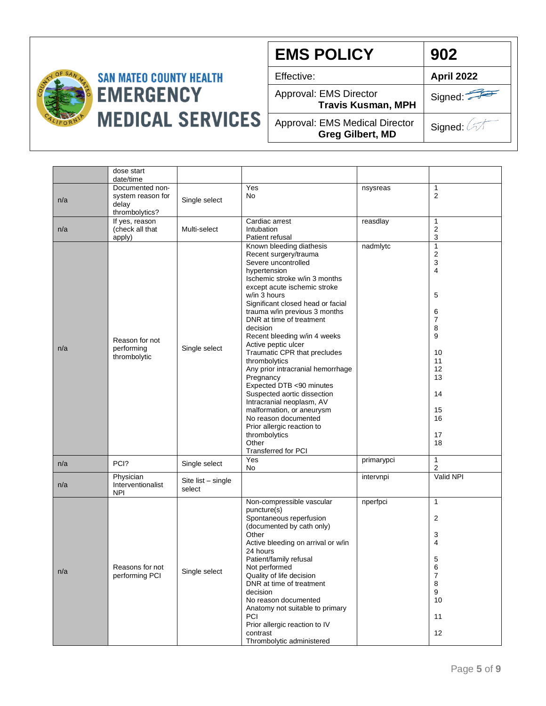

# **SAN MATEO COUNTY HEALTH EMERGENCY MEDICAL SERVICES**

**EMS POLICY**

Effective: **April 2022**

Approval: EMS Director

**Travis Kusman, MPH**

Approval: EMS Medical Director **Greg Gilbert, MD**

Signed: 4

Signed:

**902**

|     | dose start<br>date/time                                         |                              |                                                                                                                                                                                                                                                                                                                                                                                                                                                                                                                                                                                                                                                                                      |            |                                                                                                            |
|-----|-----------------------------------------------------------------|------------------------------|--------------------------------------------------------------------------------------------------------------------------------------------------------------------------------------------------------------------------------------------------------------------------------------------------------------------------------------------------------------------------------------------------------------------------------------------------------------------------------------------------------------------------------------------------------------------------------------------------------------------------------------------------------------------------------------|------------|------------------------------------------------------------------------------------------------------------|
| n/a | Documented non-<br>system reason for<br>delay<br>thrombolytics? | Single select                | Yes<br>No                                                                                                                                                                                                                                                                                                                                                                                                                                                                                                                                                                                                                                                                            | nsysreas   | 1<br>2                                                                                                     |
| n/a | If yes, reason<br>(check all that<br>apply)                     | Multi-select                 | Cardiac arrest<br>Intubation<br>Patient refusal                                                                                                                                                                                                                                                                                                                                                                                                                                                                                                                                                                                                                                      | reasdlay   | 1<br>2<br>3                                                                                                |
| n/a | Reason for not<br>performing<br>thrombolytic                    | Single select                | Known bleeding diathesis<br>Recent surgery/trauma<br>Severe uncontrolled<br>hypertension<br>Ischemic stroke w/in 3 months<br>except acute ischemic stroke<br>w/in 3 hours<br>Significant closed head or facial<br>trauma w/in previous 3 months<br>DNR at time of treatment<br>decision<br>Recent bleeding w/in 4 weeks<br>Active peptic ulcer<br>Traumatic CPR that precludes<br>thrombolytics<br>Any prior intracranial hemorrhage<br>Pregnancy<br>Expected DTB <90 minutes<br>Suspected aortic dissection<br>Intracranial neoplasm, AV<br>malformation, or aneurysm<br>No reason documented<br>Prior allergic reaction to<br>thrombolytics<br>Other<br><b>Transferred for PCI</b> | nadmlytc   | $\mathbf{1}$<br>2<br>3<br>4<br>5<br>6<br>7<br>8<br>9<br>10<br>11<br>12<br>13<br>14<br>15<br>16<br>17<br>18 |
| n/a | PCI?                                                            | Single select                | Yes<br>No                                                                                                                                                                                                                                                                                                                                                                                                                                                                                                                                                                                                                                                                            | primarypci | 1<br>2                                                                                                     |
| n/a | Physician<br>Interventionalist<br><b>NPI</b>                    | Site list - single<br>select |                                                                                                                                                                                                                                                                                                                                                                                                                                                                                                                                                                                                                                                                                      | intervnpi  | Valid NPI                                                                                                  |
| n/a | Reasons tor not<br>performing PCI                               | Single select                | Non-compressible vascular<br>puncture(s)<br>Spontaneous reperfusion<br>(documented by cath only)<br>Other<br>Active bleeding on arrival or w/in<br>24 hours<br>Patient/family refusal<br>Not performed<br>Quality of life decision<br>DNR at time of treatment<br>decision<br>No reason documented<br>Anatomy not suitable to primary<br>PCI<br>Prior allergic reaction to IV<br>contrast<br>Thrombolytic administered                                                                                                                                                                                                                                                               | nperfpci   | $\mathbf{1}$<br>2<br>3<br>4<br>5<br>6<br>7<br>8<br>9<br>10<br>11<br>12                                     |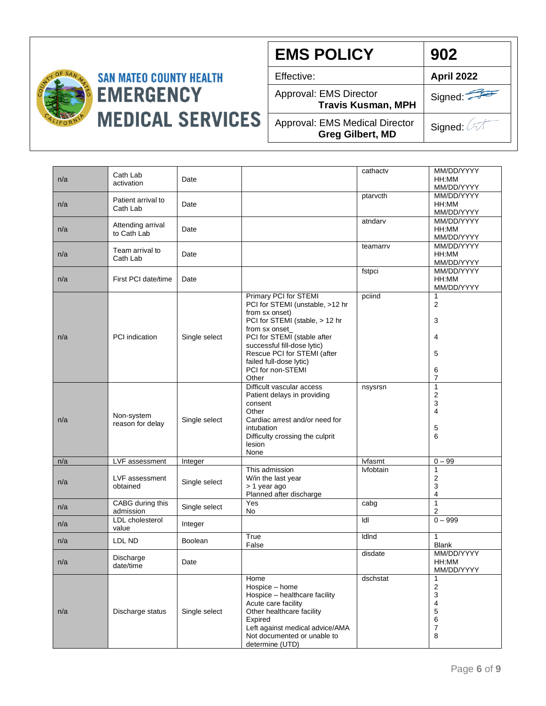

**EMS POLICY** Effective: **April 2022** Approval: EMS Director **Travis Kusman, MPH** Approval: EMS Medical Director **Greg Gilbert, MD** Signed: Signed: 4 **902**

|     |                                  |                |                                                                                                                                                                                                                                                                                      | cathactv  | MM/DD/YYYY                                                                                              |
|-----|----------------------------------|----------------|--------------------------------------------------------------------------------------------------------------------------------------------------------------------------------------------------------------------------------------------------------------------------------------|-----------|---------------------------------------------------------------------------------------------------------|
| n/a | Cath Lab<br>activation           | Date           |                                                                                                                                                                                                                                                                                      |           | HH:MM<br>MM/DD/YYYY                                                                                     |
| n/a | Patient arrival to<br>Cath Lab   | Date           |                                                                                                                                                                                                                                                                                      | ptarvcth  | MM/DD/YYYY<br>HH:MM<br>MM/DD/YYYY                                                                       |
| n/a | Attending arrival<br>to Cath Lab | Date           |                                                                                                                                                                                                                                                                                      | atndarv   | MM/DD/YYYY<br>HH:MM<br>MM/DD/YYYY                                                                       |
| n/a | Team arrival to<br>Cath Lab      | Date           |                                                                                                                                                                                                                                                                                      | teamarrv  | MM/DD/YYYY<br>HH:MM<br>MM/DD/YYYY                                                                       |
| n/a | First PCI date/time              | Date           |                                                                                                                                                                                                                                                                                      | fstpci    | MM/DD/YYYY<br>HH:MM<br>MM/DD/YYYY                                                                       |
| n/a | <b>PCI</b> indication            | Single select  | Primary PCI for STEMI<br>PCI for STEMI (unstable, >12 hr<br>from sx onset)<br>PCI for STEMI (stable, > 12 hr<br>from sx onset_<br>PCI for STEMI (stable after<br>successful fill-dose lytic)<br>Rescue PCI for STEMI (after<br>failed full-dose lytic)<br>PCI for non-STEMI<br>Other | pciind    | 1<br>$\overline{2}$<br>3<br>4<br>5<br>6<br>$\overline{7}$                                               |
| n/a | Non-system<br>reason for delay   | Single select  | Difficult vascular access<br>Patient delays in providing<br>consent<br>Other<br>Cardiac arrest and/or need for<br>intubation<br>Difficulty crossing the culprit<br>lesion<br>None                                                                                                    | nsysrsn   | $\mathbf{1}$<br>$\overline{c}$<br>3<br>4<br>5<br>6                                                      |
| n/a | LVF assessment                   | Integer        |                                                                                                                                                                                                                                                                                      | lvfasmt   | $0 - 99$                                                                                                |
| n/a | LVF assessment<br>obtained       | Single select  | This admission<br>W/in the last year<br>> 1 year ago<br>Planned after discharge                                                                                                                                                                                                      | lvfobtain | $\mathbf{1}$<br>$\overline{2}$<br>3<br>$\overline{\mathbf{4}}$                                          |
| n/a | CABG during this<br>admission    | Single select  | Yes<br>No                                                                                                                                                                                                                                                                            | cabg      | $\mathbf{1}$<br>$\overline{2}$                                                                          |
| n/a | LDL cholesterol<br>value         | Integer        |                                                                                                                                                                                                                                                                                      | Idl       | $0 - 999$                                                                                               |
| n/a | LDL ND                           | <b>Boolean</b> | True<br>False                                                                                                                                                                                                                                                                        | IdInd     | $\mathbf{1}$<br><b>Blank</b>                                                                            |
| n/a | Discharge<br>date/time           | Date           |                                                                                                                                                                                                                                                                                      | disdate   | MM/DD/YYYY<br>HH:MM<br>MM/DD/YYYY                                                                       |
| n/a | Discharge status                 | Single select  | Home<br>Hospice - home<br>Hospice - healthcare facility<br>Acute care facility<br>Other healthcare facility<br>Expired<br>Left against medical advice/AMA<br>Not documented or unable to<br>determine (UTD)                                                                          | dschstat  | 1<br>$\overline{\mathbf{c}}$<br>$\mathsf 3$<br>$\overline{\mathbf{4}}$<br>5<br>6<br>$\overline{7}$<br>8 |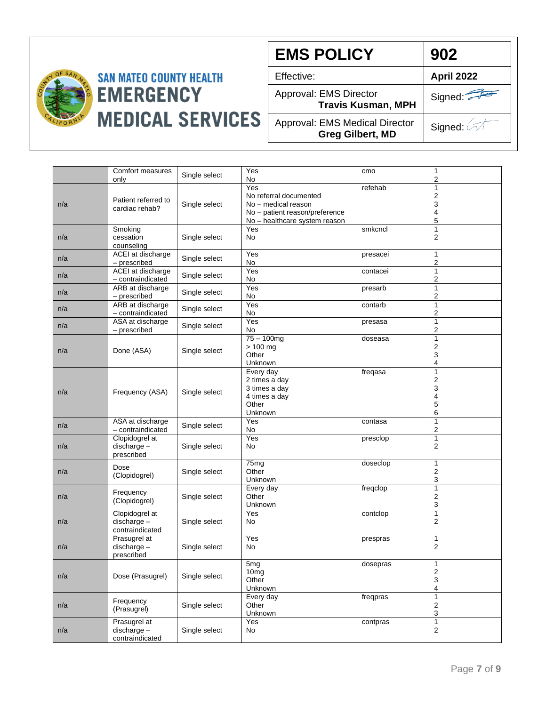

**EMS POLICY**

Effective: **April 2022**

Approval: EMS Director

**Travis Kusman, MPH**

Signed:

**902**

Approval: EMS Medical Director **Greg Gilbert, MD**

|     | Comfort measures<br>only                           | Single select | Yes<br>No                                                                                                               | cmo      | 1<br>$\overline{2}$                                                 |
|-----|----------------------------------------------------|---------------|-------------------------------------------------------------------------------------------------------------------------|----------|---------------------------------------------------------------------|
| n/a | Patient referred to<br>cardiac rehab?              | Single select | Yes<br>No referral documented<br>No - medical reason<br>No - patient reason/preference<br>No - healthcare system reason | refehab  | $\mathbf{1}$<br>$\overline{\mathbf{c}}$<br>3<br>$\overline{4}$<br>5 |
| n/a | Smoking<br>cessation<br>counseling                 | Single select | Yes<br><b>No</b>                                                                                                        | smkcncl  | $\mathbf{1}$<br>2                                                   |
| n/a | ACEI at discharge<br>- prescribed                  | Single select | Yes<br>No                                                                                                               | presacei | 1<br>$\overline{c}$                                                 |
| n/a | ACEI at discharge<br>- contraindicated             | Single select | Yes<br>No                                                                                                               | contacei | $\mathbf{1}$<br>$\overline{2}$                                      |
| n/a | ARB at discharge<br>- prescribed                   | Single select | Yes<br>No                                                                                                               | presarb  | $\mathbf{1}$<br>$\overline{2}$                                      |
| n/a | ARB at discharge<br>- contraindicated              | Single select | Yes<br>No                                                                                                               | contarb  | $\mathbf{1}$<br>$\overline{2}$                                      |
| n/a | ASA at discharge<br>- prescribed                   | Single select | Yes<br>No                                                                                                               | presasa  | $\mathbf{1}$<br>$\overline{2}$                                      |
| n/a | Done (ASA)                                         | Single select | $75 - 100$ mg<br>$> 100$ mg<br>Other<br>Unknown                                                                         | doseasa  | $\mathbf{1}$<br>$\overline{\mathbf{c}}$<br>3<br>4                   |
| n/a | Frequency (ASA)                                    | Single select | Every day<br>2 times a day<br>3 times a day<br>4 times a day<br>Other<br>Unknown                                        | freqasa  | $\mathbf{1}$<br>$\overline{2}$<br>3<br>$\overline{4}$<br>5<br>6     |
| n/a | ASA at discharge<br>- contraindicated              | Single select | Yes<br>No                                                                                                               | contasa  | $\mathbf{1}$<br>2                                                   |
| n/a | Clopidogrel at<br>$discharge -$<br>prescribed      | Single select | Yes<br><b>No</b>                                                                                                        | presclop | $\mathbf{1}$<br>$\overline{2}$                                      |
| n/a | Dose<br>(Clopidogrel)                              | Single select | 75 <sub>mg</sub><br>Other<br>Unknown                                                                                    | doseclop | $\mathbf{1}$<br>2<br>3                                              |
| n/a | Frequency<br>(Clopidogrel)                         | Single select | Every day<br>Other<br>Unknown                                                                                           | freqclop | $\mathbf{1}$<br>$\boldsymbol{2}$<br>3                               |
| n/a | Clopidogrel at<br>$discharge -$<br>contraindicated | Single select | Yes<br>No                                                                                                               | contclop | $\mathbf{1}$<br>$\overline{2}$                                      |
| n/a | Prasugrel at<br>discharge-<br>prescribed           | Single select | Yes<br>No                                                                                                               | prespras | $\mathbf{1}$<br>2                                                   |
| n/a | Dose (Prasugrel)                                   | Single select | 5 <sub>mg</sub><br>10mg<br>Other<br>Unknown                                                                             | dosepras | $\mathbf{1}$<br>2<br>3<br>4                                         |
| n/a | Frequency<br>(Prasugrel)                           | Single select | Every day<br>Other<br>Unknown                                                                                           | freqpras | $\mathbf{1}$<br>$\sqrt{2}$<br>$\mathsf 3$                           |
| n/a | Prasugrel at<br>discharge-<br>contraindicated      | Single select | Yes<br>No                                                                                                               | contpras | $\mathbf{1}$<br>$\mathbf 2$                                         |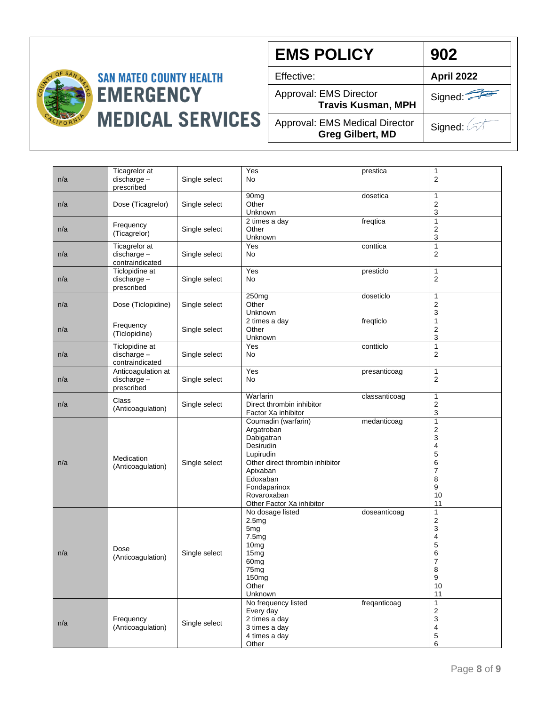

**EMS POLICY** Effective: **April 2022** Approval: EMS Director Signed: **902**

Approval: EMS Medical Director **Greg Gilbert, MD**

**Travis Kusman, MPH**

| n/a | Ticagrelor at<br>$discharge -$<br>prescribed    | Single select | Yes<br><b>No</b>                                                                                                                                                                                 | prestica      | 1<br>$\overline{2}$                                                             |
|-----|-------------------------------------------------|---------------|--------------------------------------------------------------------------------------------------------------------------------------------------------------------------------------------------|---------------|---------------------------------------------------------------------------------|
| n/a | Dose (Ticagrelor)                               | Single select | 90 <sub>mg</sub><br>Other<br>Unknown                                                                                                                                                             | dosetica      | 1<br>2<br>3                                                                     |
| n/a | Frequency<br>(Ticagrelor)                       | Single select | 2 times a day<br>Other<br>Unknown                                                                                                                                                                | freqtica      | $\mathbf{1}$<br>2<br>3                                                          |
| n/a | Ticagrelor at<br>discharge-<br>contraindicated  | Single select | Yes<br>No                                                                                                                                                                                        | conttica      | $\mathbf{1}$<br>$\overline{c}$                                                  |
| n/a | Ticlopidine at<br>discharge-<br>prescribed      | Single select | Yes<br>No                                                                                                                                                                                        | presticlo     | 1<br>2                                                                          |
| n/a | Dose (Ticlopidine)                              | Single select | 250mg<br>Other<br>Unknown                                                                                                                                                                        | doseticlo     | 1<br>2<br>3                                                                     |
| n/a | Frequency<br>(Ticlopidine)                      | Single select | 2 times a day<br>Other<br>Unknown                                                                                                                                                                | freqticlo     | 1<br>2<br>3                                                                     |
| n/a | Ticlopidine at<br>discharge-<br>contraindicated | Single select | Yes<br>No                                                                                                                                                                                        | contticlo     | $\mathbf{1}$<br>2                                                               |
| n/a | Anticoagulation at<br>discharge-<br>prescribed  | Single select | Yes<br>No                                                                                                                                                                                        | presanticoag  | 1<br>2                                                                          |
| n/a | Class<br>(Anticoagulation)                      | Single select | Warfarin<br>Direct thrombin inhibitor<br>Factor Xa inhibitor                                                                                                                                     | classanticoag | 1<br>2<br>3                                                                     |
| n/a | Medication<br>(Anticoagulation)                 | Single select | Coumadin (warfarin)<br>Argatroban<br>Dabigatran<br>Desirudin<br>Lupirudin<br>Other direct thrombin inhibitor<br>Apixaban<br>Edoxaban<br>Fondaparinox<br>Rovaroxaban<br>Other Factor Xa inhibitor | medanticoag   | 1<br>2<br>3<br>4<br>5<br>6<br>7<br>8<br>9<br>10<br>11                           |
| n/a | Dose<br>(Anticoagulation)                       | Single select | No dosage listed<br>2.5mg<br>5 <sub>mg</sub><br>7.5mg<br>10 <sub>mg</sub><br>15mg<br>60 <sub>mg</sub><br>75mg<br>150mg<br>Other<br>Unknown                                                       | doseanticoag  | $\mathbf{1}$<br>$\overline{c}$<br>3<br>4<br>5<br>6<br>7<br>8<br>9<br>10<br>11   |
| n/a | Frequency<br>(Anticoagulation)                  | Single select | No frequency listed<br>Every day<br>2 times a day<br>3 times a day<br>4 times a day<br>Other                                                                                                     | freqanticoag  | $\mathbf{1}$<br>$\mathbf 2$<br>3<br>$\overline{\mathbf{4}}$<br>$\mathbf 5$<br>6 |